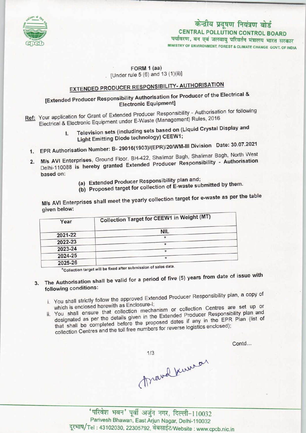

# केन्द्रीय प्रदूषण नियंत्रण बोर्ड **CENTRAL POLLUTION CONTROL BOARD** पर्यावरण, वन एवं जलवायु परिवर्तन मंत्रालय भारत सरकार MINISTRY OF ENVIRONMENT, FOREST & CLIMATE CHANGE GOVT. OF INDIA

#### FORM 1 (aa) . [Under rule  $5(6)$  and  $13(1)(ii)$ ]

# **EXTENDED PRODUCER RESPONSIBILITY- AUTHORISATION**

# [Extended Producer Responsibility Authorisation for Producer of the Electrical & Electronic Equipment]

Ref: Your application for Grant of Extended Producer Responsibility - Authorisation for following Electrical & Electronic Equipment under E-Waste (Management) Rules, 2016

# I. Television sets (including sets based on (Liquid Crystal Display and Light Emitting Diode technology) CEEW1; 1. Television sets (including Duodey) CEEW1;<br>Light Emitting Diode technology) CEEW1;<br>FRP Authorisation Number: B- 29016(1903)/(EPR)/20/WM-III Division Date: 30.07.2021

- 
- based on: 2. EPR Authorisation Number: B- 29016(1903)/(EPR)/20/WM-III Division Date: 30.07.2021<br>2. M/s AVI Enterprises, Ground Floor, BH-422, Shalimar Bagh, Shalimar Bagh, North West M/s AVI Enterprises, Ground Floor, BH-422, Shalimar Bagh, Shalimar Bagh, North West Delhi-110088 is hereby granted Extended Producer Responsibility - Authorisation
	- (a)Extended Producer Responsibility plan and:
	- (b) Proposed target for collection of E-waste submitted by them.

M/s AVI Enterprises shall meet the yearly collection target for e-waste as per the table given below:

| Year           | <b>Collection Target for CEEW1 in Weight (MT)</b> |
|----------------|---------------------------------------------------|
|                |                                                   |
|                | <b>NIL</b>                                        |
| 2021-22        |                                                   |
| 2022-23        |                                                   |
| 2023-24        |                                                   |
| 2024-25        |                                                   |
| <b>2025 26</b> |                                                   |

2025-26<br>\*Collection target will be fixed after submission of sales data.

### The Authorisation shall be valid for a period of five (5) years from date of issue with 3. following conditions:

- i. You shall strictly follow the approved Extended Producer Responsibility plan, a copy of which is enclosed herewith as Enclosure-1;
- which is enclosed herewith as Enclosure-I;<br>which is enclosed herewith as Enclosure-I;<br>mechanism or collection Centres are set up or You shall ensure that collection mechanism or collection Gentles and correction and designated as per the details given in the Extended Producer Responsibility plan and that shall be completed before the proposed dates if any in the EPR Plan (list of collection Centres and the toll free numbers for revers that shall be completed before the proposed dates if any in the EPR Plan (list of

Contd...

March Kuman

 $1/3$ 

'परिवेश भवन' पूर्वी अर्जुन नगर, दिल्ली-110032 Parivesh Bhawan, East Arjun Nagar, Delhi-110032 दूरभाष/Tel: 43102030, 22305792, वेबसाईट/Website: www.cpcb.nic.in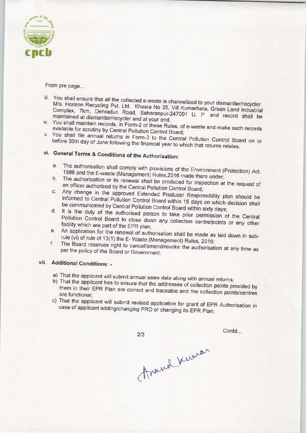

From pre page...

- iii. You shall ensure that all the collected e-waste is channelized to your dismantler M/s. Horizon Recycling Pvt. Ltd. Khasra No. 35, Vill Kumarher dismantler/recycler M/s. Horizon Recycling Pvt. Ltd. Khasra No 35, Vill Kumarhera, Green Land Industrial<br>Complex, 7km, Dehradun Road, Saharanpur-247001 U. P. and record shall be maintained at dismantler/recycler and at your end.
- iv. You shall maintain records, in Form-2 of these Rules, of e-waste and make such records available for scrutiny by Central Pollution Control Board; v. You shall file annual returns in Form-3 to the Central Pollution Control Board on the Central Pollution Control Board on the Central Pollution Control Board on the Central Board on or or or or or or or or or or or or or
- before 30th day of June following the financial year to which that returns Box before 30th day of June following the financial year to which that returns relates.<br>vi. General Terms & Conditions of the Authorisation:

- a.The authorisation shall comply with provisions of the Environment (Protection) Act, 1986 and the E-waste (Management) Rules, 2016 made there under;<br>b. The authorisation or its renewal shall be produced for inspection at the request of
- The authorisation or its renewal shall be produced for inspection at the request of an officer authorised by the Central Pollution Control Board:
- c.Any change in the approved Extended Producer Responsibility plan should be informed to Central Pollution Control Board within 15 days on which decision shall be communicated by Central Pollution Control Board within sixty days;
- d. It is the duty of the authorised person to take prior permission of the Central Pollution Control Board to close down any collection centre/points or any other facility which are part of the EPR plan;
- e. An application for the renewal of authorisation shall be made as laid down in subrule (vi) of rule of 13(1) the E-Waste (Management) Rules, 2016;
- f. The Board reserves right to cancel/amend/revoke the authorisation at any time as per the policy of the Board or Government.

## vii. Additional Conditions: -

- a) That the applicant will submit annual sales data along with annual returns;
- b)That the applicant has to ensure that the addresses of collection points provided by them in their EPR Plan are correct and traceable and the collection points/centres are functional;
- c) That the applicant will submit revised application for grant of EPR Authorisation in case of applicant adding/changing PRO or changing its EPR Plan;

 $2/3$ 

Contd...

Anamal Kerman